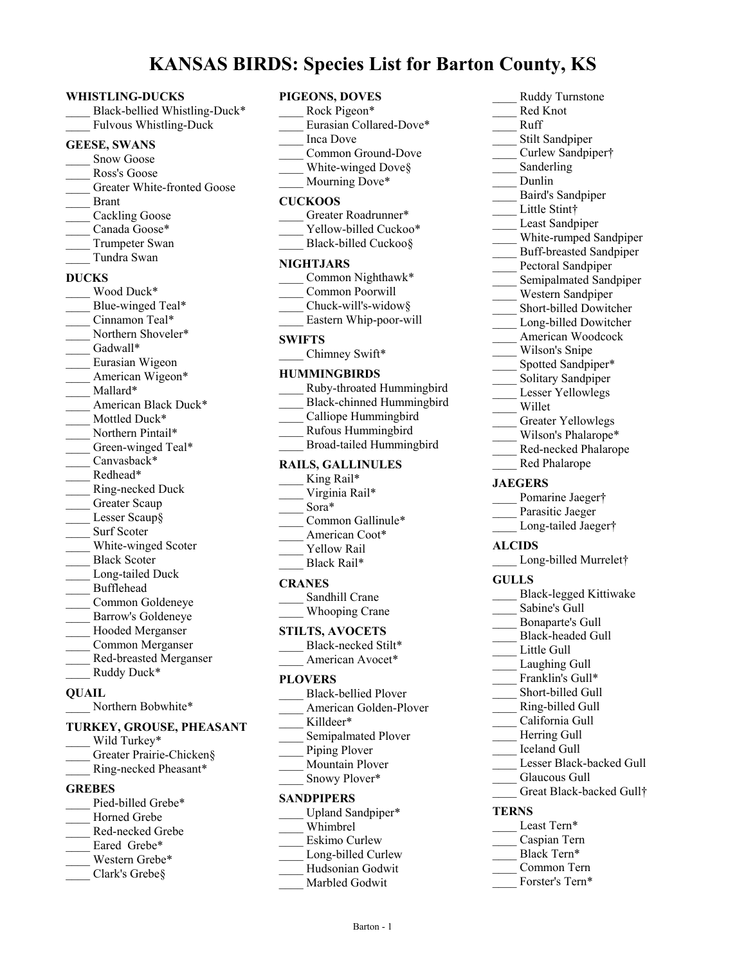# **KANSAS BIRDS: Species List for Barton County, KS**

#### **WHISTLING-DUCKS**

| WHISTLING-DUCKS                                            |
|------------------------------------------------------------|
| Black-bellied Whistling-Duck*                              |
| Fulvous Whistling-Duck                                     |
| <b>GEESE, SWANS</b>                                        |
|                                                            |
| Snow Goose                                                 |
| Ross's Goose                                               |
| Greater White-fronted Goose                                |
| $\frac{1}{\sqrt{2}}$ Brant                                 |
| Cackling Goose                                             |
| Canada Goose*                                              |
| Trumpeter Swan                                             |
| Tundra Swan                                                |
| <b>DUCKS</b>                                               |
| Wood Duck*                                                 |
| Blue-winged Teal*                                          |
|                                                            |
| $\frac{1}{2}$ Cinnamon Teal*                               |
| Northern Shoveler*                                         |
|                                                            |
|                                                            |
| Gadwall*<br>Eurasian Wigeon<br>American Wigeon*            |
| Mallard*                                                   |
| American Black Duck*                                       |
| Mottled Duck*                                              |
| Northern Pintail*                                          |
| Green-winged Teal*                                         |
| $\frac{1}{\sqrt{2}}$ Canvasback*                           |
| $\frac{1}{2}$ Redhead*                                     |
| __ Ring-necked Duck                                        |
| Greater Scaup                                              |
| $\frac{L}{c}$ Lesser Scaup §                               |
|                                                            |
|                                                            |
| White-winged Scoter<br>White-winged Scoter<br>Black Scoter |
| Long-tailed Duck                                           |
| Bufflehead                                                 |
| Common Goldeneye                                           |
| Barrow's Goldeneye                                         |
| Hooded Merganser                                           |
|                                                            |
| Common Merganser                                           |
| Red-breasted Merganser                                     |
| Ruddy Duck*                                                |
| QUAIL                                                      |
| Northern Bobwhite*                                         |
|                                                            |
| TURKEY, GROUSE, PHEASANT<br>Wild Turkey*                   |
|                                                            |
| Greater Prairie-Chicken§                                   |
| Ring-necked Pheasant*                                      |
| <b>GREBES</b>                                              |
| Pied-billed Grebe*                                         |

- Horned Grebe
- \_\_\_\_ Red-necked Grebe
- Eared Grebe\*
- Western Grebe\*
- Clark's Grebe§

| <b>PIGEONS, DOVE</b> |  |
|----------------------|--|

|                          | S: Species List for B                                                                                                                                                        |
|--------------------------|------------------------------------------------------------------------------------------------------------------------------------------------------------------------------|
| $\overline{\phantom{a}}$ | PIGEONS, DOVES<br>Rock Pigeon*<br>Eurasian Collared-Dove*<br>Inca Dove<br>Common Ground-Dove<br>$\frac{1}{\sqrt{2}}$ White-winged Dove §<br>Mourning Dove*<br><b>CUCKOOS</b> |
|                          | Greater Roadrunner*<br>Yellow-billed Cuckoo*<br>Black-billed Cuckoo§                                                                                                         |
|                          | <b>NIGHTJARS</b><br>Common Nighthawk*<br>Common Poorwill<br>Chuck-will's-widow§<br>Eastern Whip-poor-will                                                                    |
|                          | <b>SWIFTS</b><br>Chimney Swift*                                                                                                                                              |
|                          | <b>HUMMINGBIRDS</b><br>___ Ruby-throated Hummingbird<br>Black-chinned Hummingbird<br>Calliope Hummingbird<br>Rufous Hummingbird<br>Broad-tailed Hummingbird                  |
|                          | <b>RAILS, GALLINULES</b><br>King Rail*<br>Virginia Rail*<br>Sora*<br>Common Gallinule*<br>American Coot*<br><b>Yellow Rail</b><br>Black Rail*                                |
| $\overline{\phantom{a}}$ | <b>CRANES</b><br>Sandhill Crane<br>Whooping Crane                                                                                                                            |
|                          | <b>STILTS, AVOCETS</b><br>Black-necked Stilt*<br>American Avocet*                                                                                                            |
|                          | <b>PLOVERS</b><br><b>Black-bellied Plover</b><br>American Golden-Plover                                                                                                      |

Little Stint† Least Sandpiper White-rumped Sandpiper \_\_\_\_ Buff-breasted Sandpiper Pectoral Sandpiper Semipalmated Sandpiper \_\_\_\_ Western Sandpiper \_\_\_\_ Short-billed Dowitcher Long-billed Dowitcher American Woodcock Wilson's Snipe Spotted Sandpiper\* Solitary Sandpiper Lesser Yellowlegs \_\_\_\_ Willet Greater Yellowlegs Wilson's Phalarope\* Red-necked Phalarope \_\_\_\_ Red Phalarope **JAEGERS** Pomarine Jaeger† Parasitic Jaeger Long-tailed Jaeger† **ALCIDS** Long-billed Murrelet† **GULLS** \_\_\_\_ Black-legged Kittiwake Sabine's Gull \_\_\_\_ Bonaparte's Gull \_\_\_\_ Black-headed Gull Little Gull Laughing Gull Franklin's Gull\* Short-billed Gull \_\_\_\_ Ring-billed Gull \_\_\_\_ California Gull Herring Gull \_\_\_\_ Iceland Gull Lesser Black-backed Gull Glaucous Gull Great Black-backed Gull† **TERNS** Least Tern\* \_\_\_\_ Caspian Tern Black Tern\* \_\_\_\_ Common Tern Forster's Tern\*

\_\_\_\_ Ruddy Turnstone Red Knot \_\_\_\_ Ruff

Stilt Sandpiper \_\_\_\_ Curlew Sandpiper†

\_\_\_\_ Baird's Sandpiper

Sanderling \_\_\_\_ Dunlin

\_\_\_\_ Killdeer\*

**SANDPIPERS**

\_\_\_\_ Whimbrel Eskimo Curlew Long-billed Curlew \_\_\_\_ Hudsonian Godwit Marbled Godwit

Semipalmated Plover Piping Plover \_\_\_\_ Mountain Plover Snowy Plover\*

Upland Sandpiper\*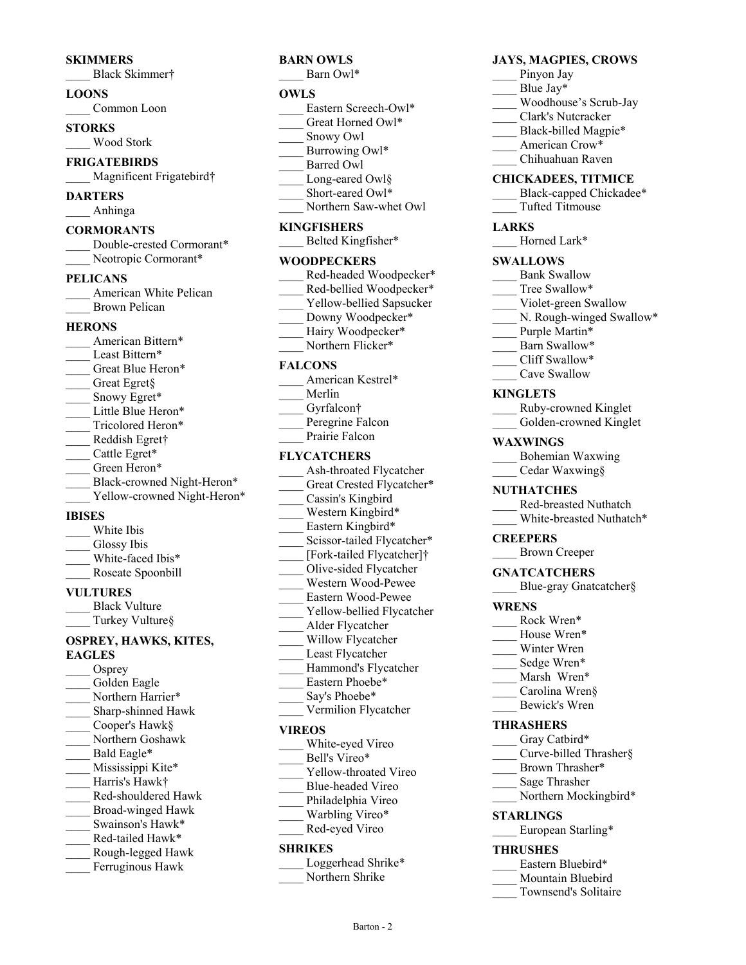#### **SKIMMERS**

\_\_\_\_ Black Skimmer†

#### **LOONS**

Common Loon

**STORKS** \_\_\_\_ Wood Stork

**FRIGATEBIRDS** Magnificent Frigatebird†

**DARTERS**

\_\_\_\_ Anhinga

#### **CORMORANTS**

| Double-crested Cormorant* |
|---------------------------|
| Neotropic Cormorant*      |

#### **PELICANS**

| American White Pelican |
|------------------------|
| Brown Pelican          |

#### **HERONS**

| American Bittern*           |  |
|-----------------------------|--|
| Least Bittern*              |  |
| Great Blue Heron*           |  |
| Great Egret§                |  |
| Snowy Egret*                |  |
| Little Blue Heron*          |  |
| Tricolored Heron*           |  |
| Reddish Egret†              |  |
| Cattle Egret*               |  |
| Green Heron*                |  |
| Black-crowned Night-Heron*  |  |
| Yellow-crowned Night-Heron* |  |
| IBISES                      |  |

- White Ibis Glossy Ibis
- White-faced Ibis\* \_\_\_\_ Roseate Spoonbill
- **VULTURES**

## Black Vulture

\_\_\_\_ Turkey Vulture§

## **OSPREY, HAWKS, KITES, EAGLES**

Osprey Golden Eagle Northern Harrier\* Sharp-shinned Hawk \_\_\_\_ Cooper's Hawk§ \_\_\_\_ Northern Goshawk Bald Eagle\* Mississippi Kite\* \_\_\_\_ Harris's Hawk† \_\_\_\_ Red-shouldered Hawk \_\_\_\_ Broad-winged Hawk Swainson's Hawk\* Red-tailed Hawk\* \_\_\_\_ Rough-legged Hawk Ferruginous Hawk

# **BARN OWLS**

Barn Owl\*

#### **OWLS**

- Eastern Screech-Owl\*
- Great Horned Owl\*
- \_\_\_\_ Snowy Owl
- Burrowing Owl\*
- Barred Owl
- Long-eared Owl§
- Short-eared Owl\*
- Northern Saw-whet Owl

## **KINGFISHERS**

Belted Kingfisher\*

## **WOODPECKERS**

- \_\_\_\_ Red-headed Woodpecker\* Red-bellied Woodpecker\*
- Yellow-bellied Sapsucker
- Downy Woodpecker\*
- Hairy Woodpecker\*
- Northern Flicker\*

#### **FALCONS**

- American Kestrel\*
- \_\_\_\_ Merlin
- Gyrfalcon†
- Peregrine Falcon
- Prairie Falcon

## **FLYCATCHERS**

- Ash-throated Flycatcher Great Crested Flycatcher\* Cassin's Kingbird Western Kingbird\* Eastern Kingbird\* Scissor-tailed Flycatcher\* \_\_\_\_ [Fork-tailed Flycatcher]† \_\_\_\_ Olive-sided Flycatcher \_\_\_\_ Western Wood-Pewee \_\_\_\_ Eastern Wood-Pewee Yellow-bellied Flycatcher \_\_\_\_ Alder Flycatcher Willow Flycatcher Least Flycatcher Hammond's Flycatcher Eastern Phoebe\* Say's Phoebe\* \_\_\_\_ Vermilion Flycatcher **VIREOS** White-eyed Vireo
- Bell's Vireo\* Yellow-throated Vireo
- \_\_\_\_ Blue-headed Vireo
- Philadelphia Vireo
- Warbling Vireo\*
- \_\_\_\_ Red-eyed Vireo

## **SHRIKES**

Loggerhead Shrike\*

Northern Shrike

Barton - 2

## **JAYS, MAGPIES, CROWS**

- Pinyon Jay
- Blue Jay\*
- \_\_\_\_ Woodhouse's Scrub-Jay
- \_\_\_\_ Clark's Nutcracker
- Black-billed Magpie\*
- American Crow\*
- \_\_\_\_ Chihuahuan Raven

## **CHICKADEES, TITMICE**

Black-capped Chickadee\* \_\_\_\_ Tufted Titmouse

#### **LARKS**

Horned Lark\*

#### **SWALLOWS**

- Bank Swallow
- Tree Swallow\*
- Violet-green Swallow
- N. Rough-winged Swallow\*
- Purple Martin\*
- Barn Swallow\*
- Cliff Swallow\*
- Cave Swallow

#### **KINGLETS**

| Ruby-crowned Kinglet   |
|------------------------|
| Golden-crowned Kinglet |

#### **WAXWINGS**

- \_\_\_\_ Bohemian Waxwing
- \_\_\_\_ Cedar Waxwing§

#### **NUTHATCHES**

- \_\_\_\_ Red-breasted Nuthatch
- White-breasted Nuthatch\*

## **CREEPERS**

\_\_\_\_ Brown Creeper

#### **GNATCATCHERS**

Blue-gray Gnatcatcher§

#### **WRENS**

- Rock Wren\*
- House Wren\*
- Winter Wren
- Sedge Wren\*
- Marsh Wren\*
- \_\_\_\_ Carolina Wren§
- \_\_\_\_ Bewick's Wren

## **THRASHERS**

**STARLINGS**

**THRUSHES**

Gray Catbird\* Curve-billed Thrasher§

> Brown Thrasher\* \_\_\_\_ Sage Thrasher

European Starling\*

Eastern Bluebird\* Mountain Bluebird Townsend's Solitaire

Northern Mockingbird\*